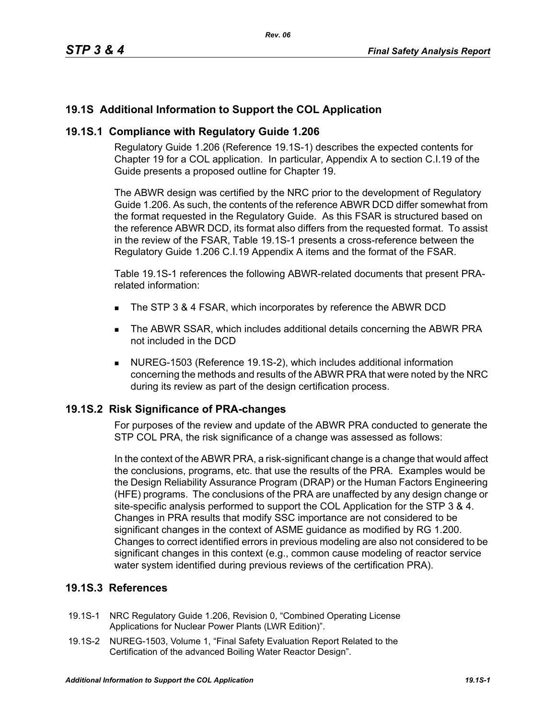# **19.1S Additional Information to Support the COL Application**

### **19.1S.1 Compliance with Regulatory Guide 1.206**

Regulatory Guide 1.206 (Reference 19.1S-1) describes the expected contents for Chapter 19 for a COL application. In particular, Appendix A to section C.I.19 of the Guide presents a proposed outline for Chapter 19.

The ABWR design was certified by the NRC prior to the development of Regulatory Guide 1.206. As such, the contents of the reference ABWR DCD differ somewhat from the format requested in the Regulatory Guide. As this FSAR is structured based on the reference ABWR DCD, its format also differs from the requested format. To assist in the review of the FSAR, Table 19.1S-1 presents a cross-reference between the Regulatory Guide 1.206 C.I.19 Appendix A items and the format of the FSAR.

Table 19.1S-1 references the following ABWR-related documents that present PRArelated information:

- The STP 3 & 4 FSAR, which incorporates by reference the ABWR DCD
- The ABWR SSAR, which includes additional details concerning the ABWR PRA not included in the DCD
- NUREG-1503 (Reference 19.1S-2), which includes additional information concerning the methods and results of the ABWR PRA that were noted by the NRC during its review as part of the design certification process.

### **19.1S.2 Risk Significance of PRA-changes**

For purposes of the review and update of the ABWR PRA conducted to generate the STP COL PRA, the risk significance of a change was assessed as follows:

In the context of the ABWR PRA, a risk-significant change is a change that would affect the conclusions, programs, etc. that use the results of the PRA. Examples would be the Design Reliability Assurance Program (DRAP) or the Human Factors Engineering (HFE) programs. The conclusions of the PRA are unaffected by any design change or site-specific analysis performed to support the COL Application for the STP 3 & 4. Changes in PRA results that modify SSC importance are not considered to be significant changes in the context of ASME guidance as modified by RG 1.200. Changes to correct identified errors in previous modeling are also not considered to be significant changes in this context (e.g., common cause modeling of reactor service water system identified during previous reviews of the certification PRA).

## **19.1S.3 References**

- 19.1S-1 NRC Regulatory Guide 1.206, Revision 0, "Combined Operating License Applications for Nuclear Power Plants (LWR Edition)".
- 19.1S-2 NUREG-1503, Volume 1, "Final Safety Evaluation Report Related to the Certification of the advanced Boiling Water Reactor Design".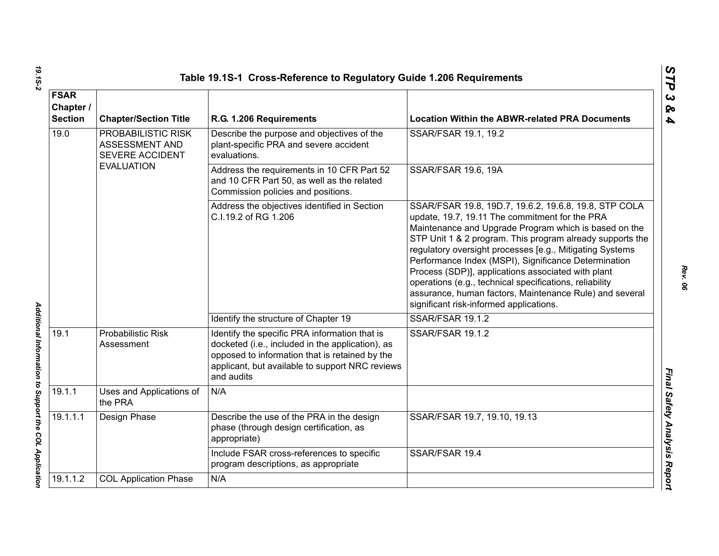|                                                                 |                                                         | Table 19.1S-1 Cross-Reference to Regulatory Guide 1.206 Requirements                                                                                                                                                 |                                                                                                                                                                                                                                                                                                                                                                                                                                                                                                                                                                          |  |
|-----------------------------------------------------------------|---------------------------------------------------------|----------------------------------------------------------------------------------------------------------------------------------------------------------------------------------------------------------------------|--------------------------------------------------------------------------------------------------------------------------------------------------------------------------------------------------------------------------------------------------------------------------------------------------------------------------------------------------------------------------------------------------------------------------------------------------------------------------------------------------------------------------------------------------------------------------|--|
| <b>FSAR</b><br>Chapter /<br><b>Section</b>                      | <b>Chapter/Section Title</b><br>R.G. 1.206 Requirements |                                                                                                                                                                                                                      | <b>Location Within the ABWR-related PRA Documents</b>                                                                                                                                                                                                                                                                                                                                                                                                                                                                                                                    |  |
| 19.0<br>PROBABILISTIC RISK<br>ASSESSMENT AND<br>SEVERE ACCIDENT |                                                         | Describe the purpose and objectives of the<br>plant-specific PRA and severe accident<br>evaluations.                                                                                                                 | SSAR/FSAR 19.1, 19.2                                                                                                                                                                                                                                                                                                                                                                                                                                                                                                                                                     |  |
|                                                                 | <b>EVALUATION</b>                                       | Address the requirements in 10 CFR Part 52<br>and 10 CFR Part 50, as well as the related<br>Commission policies and positions.                                                                                       | <b>SSAR/FSAR 19.6, 19A</b>                                                                                                                                                                                                                                                                                                                                                                                                                                                                                                                                               |  |
|                                                                 |                                                         | Address the objectives identified in Section<br>C.I.19.2 of RG 1.206                                                                                                                                                 | SSAR/FSAR 19.8, 19D.7, 19.6.2, 19.6.8, 19.8, STP COLA<br>update, 19.7, 19.11 The commitment for the PRA<br>Maintenance and Upgrade Program which is based on the<br>STP Unit 1 & 2 program. This program already supports the<br>regulatory oversight processes [e.g., Mitigating Systems<br>Performance Index (MSPI), Significance Determination<br>Process (SDP)], applications associated with plant<br>operations (e.g., technical specifications, reliability<br>assurance, human factors, Maintenance Rule) and several<br>significant risk-informed applications. |  |
|                                                                 |                                                         | Identify the structure of Chapter 19                                                                                                                                                                                 | SSAR/FSAR 19.1.2                                                                                                                                                                                                                                                                                                                                                                                                                                                                                                                                                         |  |
| 19.1                                                            | <b>Probabilistic Risk</b><br>Assessment                 | Identify the specific PRA information that is<br>docketed (i.e., included in the application), as<br>opposed to information that is retained by the<br>applicant, but available to support NRC reviews<br>and audits | SSAR/FSAR 19.1.2                                                                                                                                                                                                                                                                                                                                                                                                                                                                                                                                                         |  |
| 19.1.1                                                          | Uses and Applications of<br>the PRA                     | N/A                                                                                                                                                                                                                  |                                                                                                                                                                                                                                                                                                                                                                                                                                                                                                                                                                          |  |
| 19.1.1.1                                                        | Design Phase                                            | Describe the use of the PRA in the design<br>phase (through design certification, as<br>appropriate)                                                                                                                 | SSAR/FSAR 19.7, 19.10, 19.13                                                                                                                                                                                                                                                                                                                                                                                                                                                                                                                                             |  |
|                                                                 |                                                         | Include FSAR cross-references to specific<br>program descriptions, as appropriate                                                                                                                                    | SSAR/FSAR 19.4                                                                                                                                                                                                                                                                                                                                                                                                                                                                                                                                                           |  |
| 19.1.1.2                                                        | <b>COL Application Phase</b>                            | N/A                                                                                                                                                                                                                  |                                                                                                                                                                                                                                                                                                                                                                                                                                                                                                                                                                          |  |
|                                                                 |                                                         |                                                                                                                                                                                                                      |                                                                                                                                                                                                                                                                                                                                                                                                                                                                                                                                                                          |  |

*Rev. 06*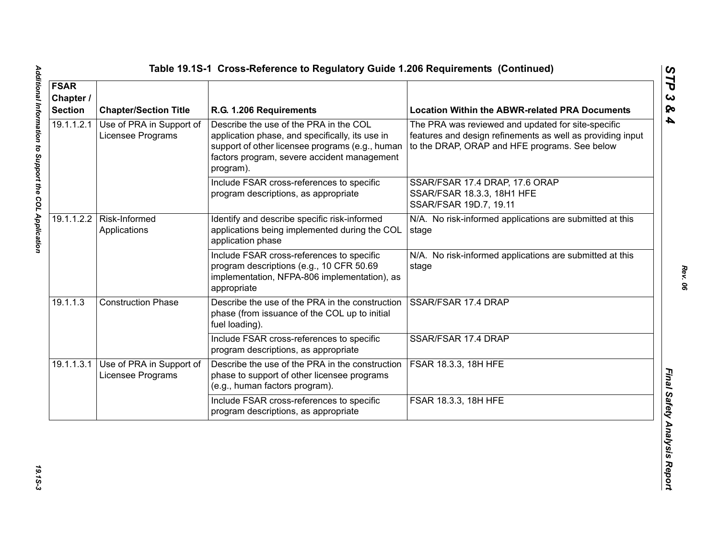| <b>FSAR</b><br>Chapter /<br><b>Section</b> | <b>Chapter/Section Title</b>                  | R.G. 1.206 Requirements                                                                                                                                                                                  | <b>Location Within the ABWR-related PRA Documents</b>                                                                                                             |
|--------------------------------------------|-----------------------------------------------|----------------------------------------------------------------------------------------------------------------------------------------------------------------------------------------------------------|-------------------------------------------------------------------------------------------------------------------------------------------------------------------|
| 19.1.1.2.1                                 | Use of PRA in Support of<br>Licensee Programs | Describe the use of the PRA in the COL<br>application phase, and specifically, its use in<br>support of other licensee programs (e.g., human<br>factors program, severe accident management<br>program). | The PRA was reviewed and updated for site-specific<br>features and design refinements as well as providing input<br>to the DRAP, ORAP and HFE programs. See below |
|                                            |                                               | Include FSAR cross-references to specific<br>program descriptions, as appropriate                                                                                                                        | SSAR/FSAR 17.4 DRAP, 17.6 ORAP<br>SSAR/FSAR 18.3.3, 18H1 HFE<br>SSAR/FSAR 19D.7, 19.11                                                                            |
|                                            | 19.1.1.2.2   Risk-Informed<br>Applications    | Identify and describe specific risk-informed<br>applications being implemented during the COL<br>application phase                                                                                       | N/A. No risk-informed applications are submitted at this<br>stage                                                                                                 |
|                                            |                                               | Include FSAR cross-references to specific<br>program descriptions (e.g., 10 CFR 50.69<br>implementation, NFPA-806 implementation), as<br>appropriate                                                     | N/A. No risk-informed applications are submitted at this<br>stage                                                                                                 |
| 19.1.1.3                                   | <b>Construction Phase</b>                     | Describe the use of the PRA in the construction<br>phase (from issuance of the COL up to initial<br>fuel loading).                                                                                       | SSAR/FSAR 17.4 DRAP                                                                                                                                               |
|                                            |                                               | Include FSAR cross-references to specific<br>program descriptions, as appropriate                                                                                                                        | SSAR/FSAR 17.4 DRAP                                                                                                                                               |
| 19.1.1.3.1                                 | Use of PRA in Support of<br>Licensee Programs | Describe the use of the PRA in the construction<br>phase to support of other licensee programs<br>(e.g., human factors program).                                                                         | FSAR 18.3.3, 18H HFE                                                                                                                                              |
|                                            |                                               | Include FSAR cross-references to specific<br>program descriptions, as appropriate                                                                                                                        | FSAR 18.3.3, 18H HFE                                                                                                                                              |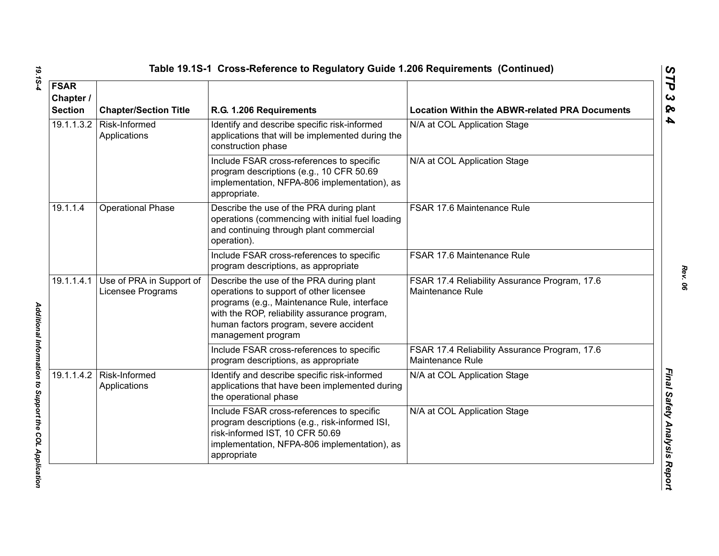| <b>FSAR</b><br>Chapter /<br><b>Section</b> | <b>Chapter/Section Title</b>                  | R.G. 1.206 Requirements                                                                                                                                                                                                                            | <b>Location Within the ABWR-related PRA Documents</b>             |
|--------------------------------------------|-----------------------------------------------|----------------------------------------------------------------------------------------------------------------------------------------------------------------------------------------------------------------------------------------------------|-------------------------------------------------------------------|
| 19.1.1.3.2                                 | Risk-Informed<br>Applications                 | Identify and describe specific risk-informed<br>applications that will be implemented during the<br>construction phase                                                                                                                             | N/A at COL Application Stage                                      |
|                                            |                                               | Include FSAR cross-references to specific<br>program descriptions (e.g., 10 CFR 50.69<br>implementation, NFPA-806 implementation), as<br>appropriate.                                                                                              | N/A at COL Application Stage                                      |
| 19.1.1.4                                   | <b>Operational Phase</b>                      | Describe the use of the PRA during plant<br>operations (commencing with initial fuel loading<br>and continuing through plant commercial<br>operation).                                                                                             | FSAR 17.6 Maintenance Rule                                        |
|                                            |                                               | Include FSAR cross-references to specific<br>program descriptions, as appropriate                                                                                                                                                                  | FSAR 17.6 Maintenance Rule                                        |
| 19.1.1.4.1                                 | Use of PRA in Support of<br>Licensee Programs | Describe the use of the PRA during plant<br>operations to support of other licensee<br>programs (e.g., Maintenance Rule, interface<br>with the ROP, reliability assurance program,<br>human factors program, severe accident<br>management program | FSAR 17.4 Reliability Assurance Program, 17.6<br>Maintenance Rule |
|                                            |                                               | Include FSAR cross-references to specific<br>program descriptions, as appropriate                                                                                                                                                                  | FSAR 17.4 Reliability Assurance Program, 17.6<br>Maintenance Rule |
| 19.1.1.4.2                                 | Risk-Informed<br>Applications                 | Identify and describe specific risk-informed<br>applications that have been implemented during<br>the operational phase                                                                                                                            | N/A at COL Application Stage                                      |
|                                            |                                               | Include FSAR cross-references to specific<br>program descriptions (e.g., risk-informed ISI,<br>risk-informed IST, 10 CFR 50.69<br>implementation, NFPA-806 implementation), as<br>appropriate                                                      | N/A at COL Application Stage                                      |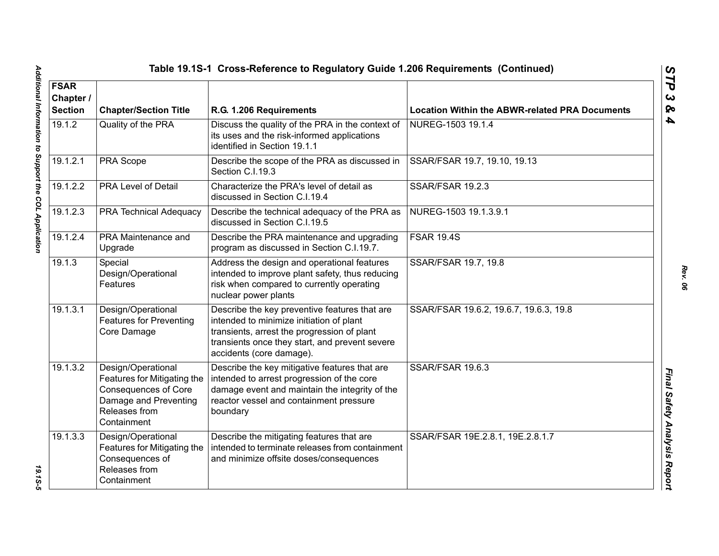| Table 19.1S-1 Cross-Reference to Regulatory Guide 1.206 Requirements (Continued) |                                                                                                                                           |                                                                                                                                                                                                                        |                                                       |  |
|----------------------------------------------------------------------------------|-------------------------------------------------------------------------------------------------------------------------------------------|------------------------------------------------------------------------------------------------------------------------------------------------------------------------------------------------------------------------|-------------------------------------------------------|--|
| <b>FSAR</b><br>Chapter /<br><b>Section</b>                                       | <b>Chapter/Section Title</b><br>R.G. 1.206 Requirements                                                                                   |                                                                                                                                                                                                                        | <b>Location Within the ABWR-related PRA Documents</b> |  |
| 19.1.2                                                                           | Quality of the PRA                                                                                                                        | Discuss the quality of the PRA in the context of<br>its uses and the risk-informed applications<br>identified in Section 19.1.1                                                                                        | NUREG-1503 19.1.4                                     |  |
| 19.1.2.1                                                                         | PRA Scope                                                                                                                                 | Describe the scope of the PRA as discussed in<br>Section C.I.19.3                                                                                                                                                      | SSAR/FSAR 19.7, 19.10, 19.13                          |  |
| 19.1.2.2                                                                         | <b>PRA Level of Detail</b>                                                                                                                | Characterize the PRA's level of detail as<br>discussed in Section C.I.19.4                                                                                                                                             | <b>SSAR/FSAR 19.2.3</b>                               |  |
| 19.1.2.3                                                                         | <b>PRA Technical Adequacy</b>                                                                                                             | Describe the technical adequacy of the PRA as<br>discussed in Section C.I.19.5                                                                                                                                         | NUREG-1503 19.1.3.9.1                                 |  |
| 19.1.2.4                                                                         | PRA Maintenance and<br>Upgrade                                                                                                            | Describe the PRA maintenance and upgrading<br>program as discussed in Section C.I.19.7.                                                                                                                                | <b>FSAR 19.4S</b>                                     |  |
| 19.1.3                                                                           | Special<br>Design/Operational<br>Features                                                                                                 | Address the design and operational features<br>intended to improve plant safety, thus reducing<br>risk when compared to currently operating<br>nuclear power plants                                                    | SSAR/FSAR 19.7, 19.8                                  |  |
| 19.1.3.1                                                                         | Design/Operational<br><b>Features for Preventing</b><br>Core Damage                                                                       | Describe the key preventive features that are<br>intended to minimize initiation of plant<br>transients, arrest the progression of plant<br>transients once they start, and prevent severe<br>accidents (core damage). | SSAR/FSAR 19.6.2, 19.6.7, 19.6.3, 19.8                |  |
| 19.1.3.2                                                                         | Design/Operational<br>Features for Mitigating the<br><b>Consequences of Core</b><br>Damage and Preventing<br>Releases from<br>Containment | Describe the key mitigative features that are<br>intended to arrest progression of the core<br>damage event and maintain the integrity of the<br>reactor vessel and containment pressure<br>boundary                   | SSAR/FSAR 19.6.3                                      |  |
| 19.1.3.3                                                                         | Design/Operational<br>Features for Mitigating the<br>Consequences of<br>Releases from<br>Containment                                      | Describe the mitigating features that are<br>intended to terminate releases from containment<br>and minimize offsite doses/consequences                                                                                | SSAR/FSAR 19E.2.8.1, 19E.2.8.1.7                      |  |

*STP 3 & 4*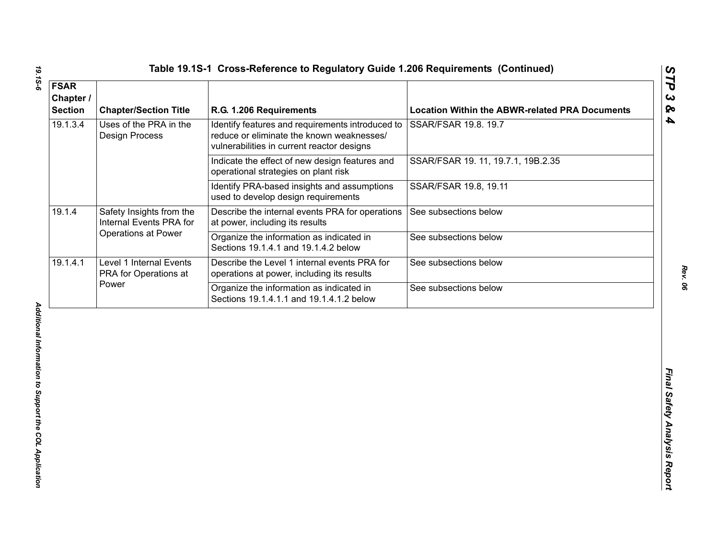| 19.1.3.4<br>Uses of the PRA in the<br>Identify features and requirements introduced to<br>SSAR/FSAR 19.8. 19.7<br>reduce or eliminate the known weaknesses/<br><b>Design Process</b><br>vulnerabilities in current reactor designs<br>SSAR/FSAR 19. 11, 19.7.1, 19B.2.35<br>Indicate the effect of new design features and<br>operational strategies on plant risk<br>Identify PRA-based insights and assumptions<br>SSAR/FSAR 19.8, 19.11<br>used to develop design requirements<br>19.1.4<br>Safety Insights from the<br>Describe the internal events PRA for operations<br>See subsections below<br>Internal Events PRA for<br>at power, including its results<br><b>Operations at Power</b><br>Organize the information as indicated in<br>See subsections below<br>Sections 19.1.4.1 and 19.1.4.2 below<br>19.1.4.1<br>Level 1 Internal Events<br>Describe the Level 1 internal events PRA for<br>See subsections below<br>PRA for Operations at<br>operations at power, including its results<br>Power<br>Organize the information as indicated in<br>See subsections below<br>Sections 19.1.4.1.1 and 19.1.4.1.2 below | <b>FSAR</b><br>Chapter /<br><b>Section</b> | <b>Chapter/Section Title</b> | R.G. 1.206 Requirements | <b>Location Within the ABWR-related PRA Documents</b> |
|-------------------------------------------------------------------------------------------------------------------------------------------------------------------------------------------------------------------------------------------------------------------------------------------------------------------------------------------------------------------------------------------------------------------------------------------------------------------------------------------------------------------------------------------------------------------------------------------------------------------------------------------------------------------------------------------------------------------------------------------------------------------------------------------------------------------------------------------------------------------------------------------------------------------------------------------------------------------------------------------------------------------------------------------------------------------------------------------------------------------------------|--------------------------------------------|------------------------------|-------------------------|-------------------------------------------------------|
|                                                                                                                                                                                                                                                                                                                                                                                                                                                                                                                                                                                                                                                                                                                                                                                                                                                                                                                                                                                                                                                                                                                               |                                            |                              |                         |                                                       |
|                                                                                                                                                                                                                                                                                                                                                                                                                                                                                                                                                                                                                                                                                                                                                                                                                                                                                                                                                                                                                                                                                                                               |                                            |                              |                         |                                                       |
|                                                                                                                                                                                                                                                                                                                                                                                                                                                                                                                                                                                                                                                                                                                                                                                                                                                                                                                                                                                                                                                                                                                               |                                            |                              |                         |                                                       |
|                                                                                                                                                                                                                                                                                                                                                                                                                                                                                                                                                                                                                                                                                                                                                                                                                                                                                                                                                                                                                                                                                                                               |                                            |                              |                         |                                                       |
|                                                                                                                                                                                                                                                                                                                                                                                                                                                                                                                                                                                                                                                                                                                                                                                                                                                                                                                                                                                                                                                                                                                               |                                            |                              |                         |                                                       |
|                                                                                                                                                                                                                                                                                                                                                                                                                                                                                                                                                                                                                                                                                                                                                                                                                                                                                                                                                                                                                                                                                                                               |                                            |                              |                         |                                                       |
|                                                                                                                                                                                                                                                                                                                                                                                                                                                                                                                                                                                                                                                                                                                                                                                                                                                                                                                                                                                                                                                                                                                               |                                            |                              |                         |                                                       |
|                                                                                                                                                                                                                                                                                                                                                                                                                                                                                                                                                                                                                                                                                                                                                                                                                                                                                                                                                                                                                                                                                                                               |                                            |                              |                         |                                                       |

19.15-6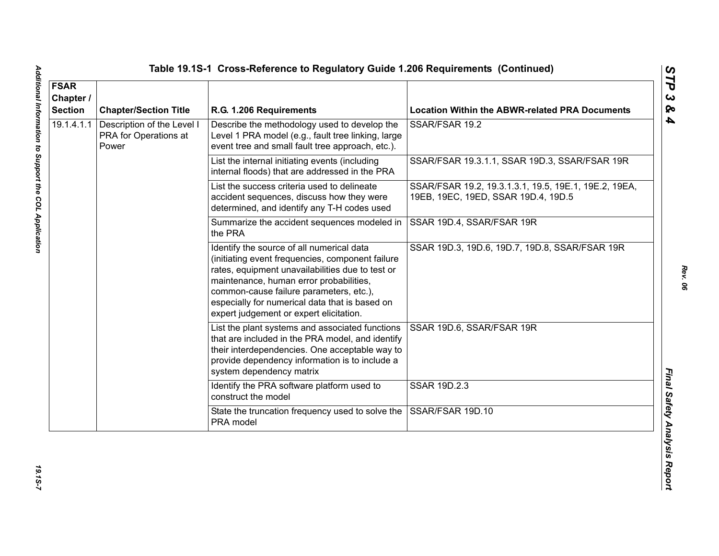| <b>FSAR</b><br>Chapter /<br><b>Section</b> | <b>Chapter/Section Title</b>                                 | R.G. 1.206 Requirements                                                                                                                                                                                                                                                                                                              | <b>Location Within the ABWR-related PRA Documents</b>                                        |
|--------------------------------------------|--------------------------------------------------------------|--------------------------------------------------------------------------------------------------------------------------------------------------------------------------------------------------------------------------------------------------------------------------------------------------------------------------------------|----------------------------------------------------------------------------------------------|
| 19.1.4.1.1                                 | Description of the Level I<br>PRA for Operations at<br>Power | Describe the methodology used to develop the<br>Level 1 PRA model (e.g., fault tree linking, large<br>event tree and small fault tree approach, etc.).                                                                                                                                                                               | SSAR/FSAR 19.2                                                                               |
|                                            |                                                              | List the internal initiating events (including<br>internal floods) that are addressed in the PRA                                                                                                                                                                                                                                     | SSAR/FSAR 19.3.1.1, SSAR 19D.3, SSAR/FSAR 19R                                                |
|                                            |                                                              | List the success criteria used to delineate<br>accident sequences, discuss how they were<br>determined, and identify any T-H codes used                                                                                                                                                                                              | SSAR/FSAR 19.2, 19.3.1.3.1, 19.5, 19E.1, 19E.2, 19EA,<br>19EB, 19EC, 19ED, SSAR 19D.4, 19D.5 |
|                                            |                                                              | Summarize the accident sequences modeled in<br>the PRA                                                                                                                                                                                                                                                                               | SSAR 19D.4, SSAR/FSAR 19R                                                                    |
|                                            |                                                              | Identify the source of all numerical data<br>(initiating event frequencies, component failure<br>rates, equipment unavailabilities due to test or<br>maintenance, human error probabilities,<br>common-cause failure parameters, etc.),<br>especially for numerical data that is based on<br>expert judgement or expert elicitation. | SSAR 19D.3, 19D.6, 19D.7, 19D.8, SSAR/FSAR 19R                                               |
|                                            |                                                              | List the plant systems and associated functions<br>that are included in the PRA model, and identify<br>their interdependencies. One acceptable way to<br>provide dependency information is to include a<br>system dependency matrix                                                                                                  | SSAR 19D.6, SSAR/FSAR 19R                                                                    |
|                                            |                                                              | Identify the PRA software platform used to<br>construct the model                                                                                                                                                                                                                                                                    | SSAR 19D.2.3                                                                                 |
|                                            |                                                              | State the truncation frequency used to solve the<br>PRA model                                                                                                                                                                                                                                                                        | SSAR/FSAR 19D.10                                                                             |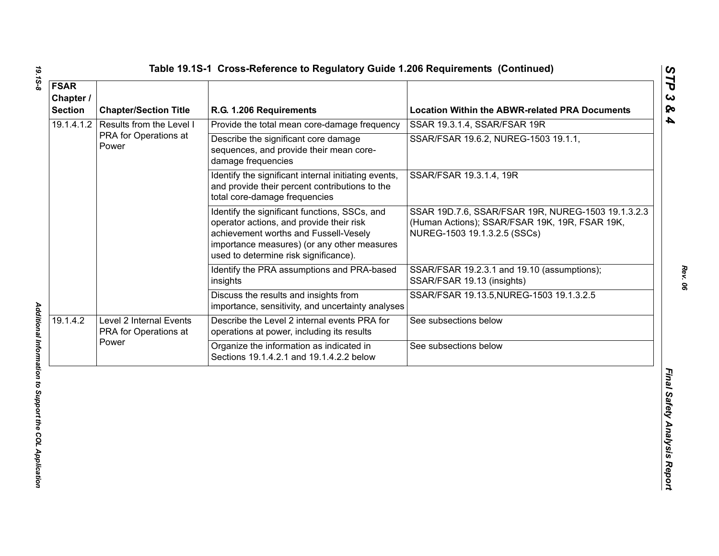| <b>FSAR</b><br>Chapter /<br><b>Section</b> | <b>Chapter/Section Title</b>                     | R.G. 1.206 Requirements                                                                                                                                                                                                    | <b>Location Within the ABWR-related PRA Documents</b>                                                                                |
|--------------------------------------------|--------------------------------------------------|----------------------------------------------------------------------------------------------------------------------------------------------------------------------------------------------------------------------------|--------------------------------------------------------------------------------------------------------------------------------------|
| 19.1.4.1.2                                 | Results from the Level I                         | Provide the total mean core-damage frequency                                                                                                                                                                               | SSAR 19.3.1.4, SSAR/FSAR 19R                                                                                                         |
|                                            | PRA for Operations at<br>Power                   | Describe the significant core damage<br>sequences, and provide their mean core-<br>damage frequencies                                                                                                                      | SSAR/FSAR 19.6.2, NUREG-1503 19.1.1,                                                                                                 |
|                                            |                                                  | Identify the significant internal initiating events,<br>and provide their percent contributions to the<br>total core-damage frequencies                                                                                    | SSAR/FSAR 19.3.1.4, 19R                                                                                                              |
|                                            |                                                  | Identify the significant functions, SSCs, and<br>operator actions, and provide their risk<br>achievement worths and Fussell-Vesely<br>importance measures) (or any other measures<br>used to determine risk significance). | SSAR 19D.7.6, SSAR/FSAR 19R, NUREG-1503 19.1.3.2.3<br>(Human Actions); SSAR/FSAR 19K, 19R, FSAR 19K,<br>NUREG-1503 19.1.3.2.5 (SSCs) |
|                                            |                                                  | Identify the PRA assumptions and PRA-based<br>insights                                                                                                                                                                     | SSAR/FSAR 19.2.3.1 and 19.10 (assumptions);<br>SSAR/FSAR 19.13 (insights)                                                            |
|                                            |                                                  | Discuss the results and insights from<br>importance, sensitivity, and uncertainty analyses                                                                                                                                 | SSAR/FSAR 19.13.5, NUREG-1503 19.1.3.2.5                                                                                             |
| 19.1.4.2                                   | Level 2 Internal Events<br>PRA for Operations at | Describe the Level 2 internal events PRA for<br>operations at power, including its results                                                                                                                                 | See subsections below                                                                                                                |
|                                            | Power                                            | Organize the information as indicated in<br>Sections 19.1.4.2.1 and 19.1.4.2.2 below                                                                                                                                       | See subsections below                                                                                                                |
|                                            |                                                  |                                                                                                                                                                                                                            |                                                                                                                                      |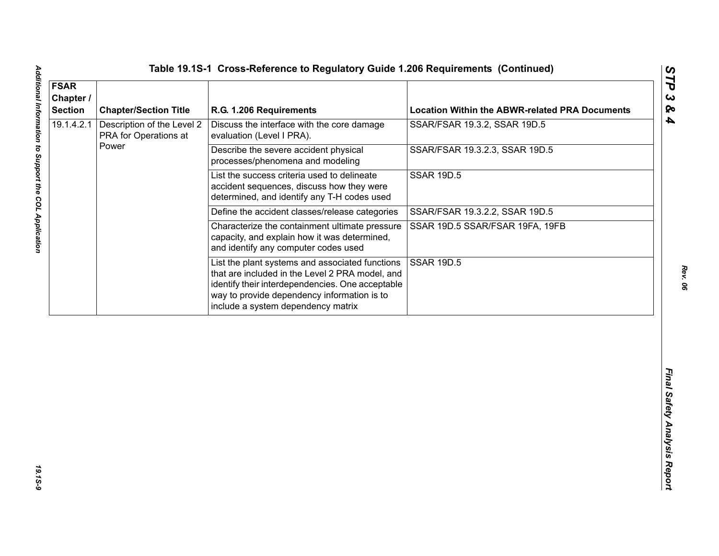| 19.1.4.2.1<br>Description of the Level 2<br>Discuss the interface with the core damage<br>PRA for Operations at<br>evaluation (Level I PRA).<br>Power<br>Describe the severe accident physical<br>processes/phenomena and modeling          | SSAR/FSAR 19.3.2, SSAR 19D.5<br>SSAR/FSAR 19.3.2.3, SSAR 19D.5 |
|---------------------------------------------------------------------------------------------------------------------------------------------------------------------------------------------------------------------------------------------|----------------------------------------------------------------|
|                                                                                                                                                                                                                                             |                                                                |
|                                                                                                                                                                                                                                             |                                                                |
| List the success criteria used to delineate<br>accident sequences, discuss how they were<br>determined, and identify any T-H codes used                                                                                                     | <b>SSAR 19D.5</b>                                              |
| Define the accident classes/release categories                                                                                                                                                                                              | SSAR/FSAR 19.3.2.2, SSAR 19D.5                                 |
| Characterize the containment ultimate pressure<br>capacity, and explain how it was determined,<br>and identify any computer codes used                                                                                                      | SSAR 19D.5 SSAR/FSAR 19FA, 19FB                                |
| List the plant systems and associated functions<br>that are included in the Level 2 PRA model, and<br>identify their interdependencies. One acceptable<br>way to provide dependency information is to<br>include a system dependency matrix | <b>SSAR 19D.5</b>                                              |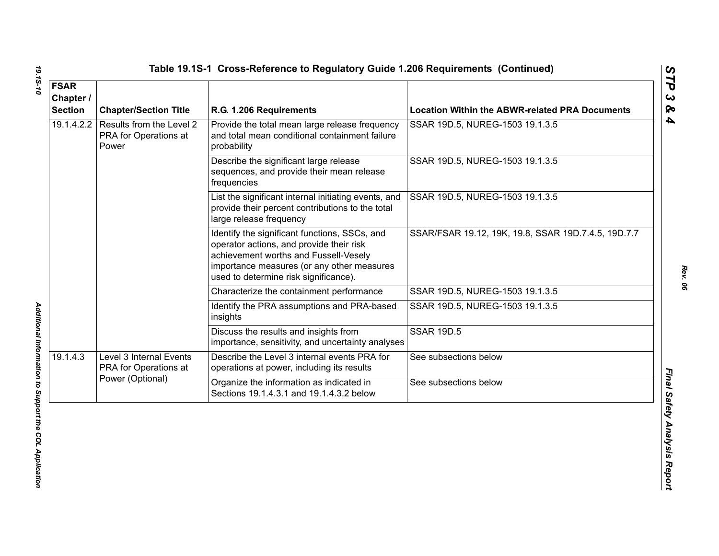| <b>FSAR</b><br>Chapter /<br><b>Section</b> | <b>Chapter/Section Title</b>                                         | R.G. 1.206 Requirements                                                                                                                                                                                                   | <b>Location Within the ABWR-related PRA Documents</b> |
|--------------------------------------------|----------------------------------------------------------------------|---------------------------------------------------------------------------------------------------------------------------------------------------------------------------------------------------------------------------|-------------------------------------------------------|
| 19.1.4.2.2                                 | Results from the Level 2<br>PRA for Operations at<br>Power           | Provide the total mean large release frequency<br>and total mean conditional containment failure<br>probability                                                                                                           | SSAR 19D.5, NUREG-1503 19.1.3.5                       |
|                                            |                                                                      | Describe the significant large release<br>sequences, and provide their mean release<br>frequencies                                                                                                                        | SSAR 19D.5, NUREG-1503 19.1.3.5                       |
|                                            |                                                                      | List the significant internal initiating events, and<br>provide their percent contributions to the total<br>large release frequency                                                                                       | SSAR 19D.5, NUREG-1503 19.1.3.5                       |
|                                            |                                                                      | Identify the significant functions, SSCs, and<br>operator actions, and provide their risk<br>achievement worths and Fussell-Vesely<br>importance measures (or any other measures<br>used to determine risk significance). | SSAR/FSAR 19.12, 19K, 19.8, SSAR 19D.7.4.5, 19D.7.7   |
|                                            |                                                                      | Characterize the containment performance                                                                                                                                                                                  | SSAR 19D.5, NUREG-1503 19.1.3.5                       |
|                                            |                                                                      | Identify the PRA assumptions and PRA-based<br>insights                                                                                                                                                                    | SSAR 19D.5, NUREG-1503 19.1.3.5                       |
|                                            |                                                                      | Discuss the results and insights from<br>importance, sensitivity, and uncertainty analyses                                                                                                                                | <b>SSAR 19D.5</b>                                     |
| 19.1.4.3                                   | Level 3 Internal Events<br>PRA for Operations at<br>Power (Optional) | Describe the Level 3 internal events PRA for<br>operations at power, including its results                                                                                                                                | See subsections below                                 |
|                                            |                                                                      | Organize the information as indicated in<br>Sections 19.1.4.3.1 and 19.1.4.3.2 below                                                                                                                                      | See subsections below                                 |

19.15-10

*Rev. 06*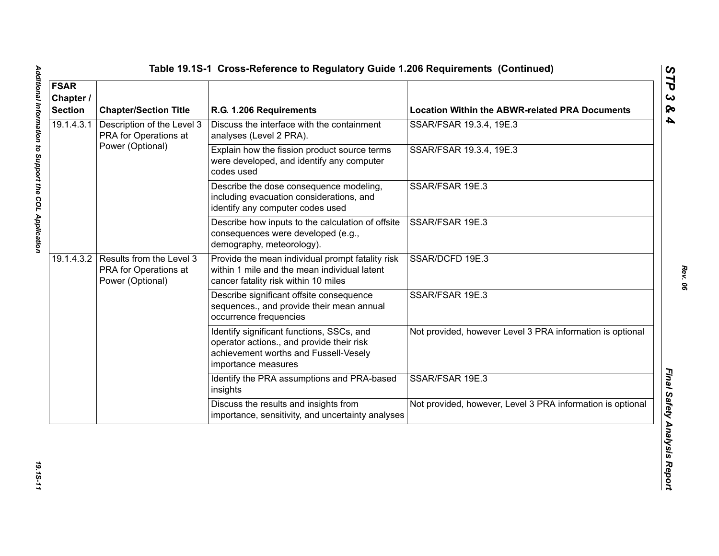| <b>FSAR</b><br>Chapter /<br><b>Section</b> | <b>Chapter/Section Title</b>                                                     | R.G. 1.206 Requirements                                                                                                                                | <b>Location Within the ABWR-related PRA Documents</b>      |
|--------------------------------------------|----------------------------------------------------------------------------------|--------------------------------------------------------------------------------------------------------------------------------------------------------|------------------------------------------------------------|
| 19.1.4.3.1                                 | Description of the Level 3<br>PRA for Operations at                              | Discuss the interface with the containment<br>analyses (Level 2 PRA).                                                                                  | SSAR/FSAR 19.3.4, 19E.3                                    |
|                                            | Power (Optional)                                                                 | Explain how the fission product source terms<br>were developed, and identify any computer<br>codes used                                                | SSAR/FSAR 19.3.4, 19E.3                                    |
|                                            |                                                                                  | Describe the dose consequence modeling,<br>including evacuation considerations, and<br>identify any computer codes used                                | SSAR/FSAR 19E.3                                            |
|                                            |                                                                                  | Describe how inputs to the calculation of offsite<br>consequences were developed (e.g.,<br>demography, meteorology).                                   | SSAR/FSAR 19E.3                                            |
|                                            | 19.1.4.3.2 Results from the Level 3<br>PRA for Operations at<br>Power (Optional) | Provide the mean individual prompt fatality risk<br>within 1 mile and the mean individual latent<br>cancer fatality risk within 10 miles               | SSAR/DCFD 19E.3                                            |
|                                            |                                                                                  | Describe significant offsite consequence<br>sequences., and provide their mean annual<br>occurrence frequencies                                        | SSAR/FSAR 19E.3                                            |
|                                            |                                                                                  | Identify significant functions, SSCs, and<br>operator actions., and provide their risk<br>achievement worths and Fussell-Vesely<br>importance measures | Not provided, however Level 3 PRA information is optional  |
|                                            |                                                                                  | Identify the PRA assumptions and PRA-based<br>insights                                                                                                 | SSAR/FSAR 19E.3                                            |
|                                            |                                                                                  | Discuss the results and insights from<br>importance, sensitivity, and uncertainty analyses                                                             | Not provided, however, Level 3 PRA information is optional |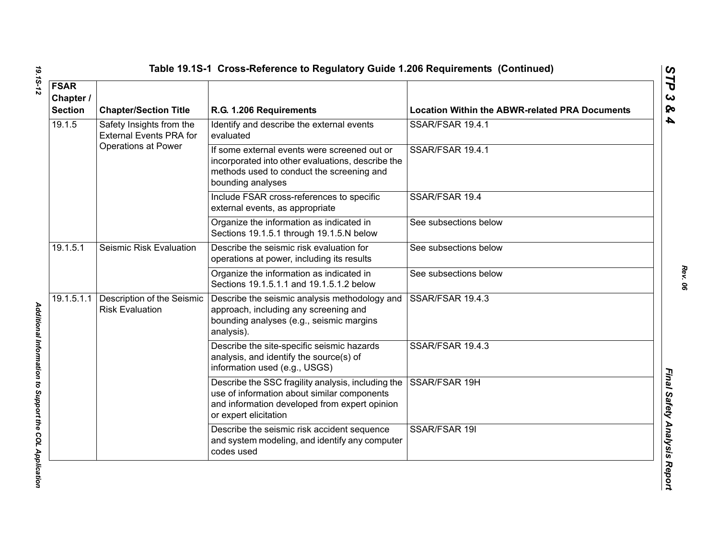|  | Table 19.1S-1  Cross-Reference to Regulatory Guide 1.206 Requirements  (Continueo |  |  |  |  |
|--|-----------------------------------------------------------------------------------|--|--|--|--|
|--|-----------------------------------------------------------------------------------|--|--|--|--|

| <b>FSAR</b>                                           |                                                            |                                                                                                                                                                             |                                                       |
|-------------------------------------------------------|------------------------------------------------------------|-----------------------------------------------------------------------------------------------------------------------------------------------------------------------------|-------------------------------------------------------|
| Chapter /<br><b>Section</b>                           | <b>Chapter/Section Title</b>                               | R.G. 1.206 Requirements                                                                                                                                                     | <b>Location Within the ABWR-related PRA Documents</b> |
| 19.1.5                                                | Safety Insights from the<br><b>External Events PRA for</b> | Identify and describe the external events<br>evaluated                                                                                                                      | SSAR/FSAR 19.4.1                                      |
|                                                       | <b>Operations at Power</b>                                 | If some external events were screened out or<br>incorporated into other evaluations, describe the<br>methods used to conduct the screening and<br>bounding analyses         | SSAR/FSAR 19.4.1                                      |
|                                                       |                                                            | Include FSAR cross-references to specific<br>external events, as appropriate                                                                                                | SSAR/FSAR 19.4                                        |
|                                                       |                                                            | Organize the information as indicated in<br>Sections 19.1.5.1 through 19.1.5.N below                                                                                        | See subsections below                                 |
| 19.1.5.1                                              | Seismic Risk Evaluation                                    | Describe the seismic risk evaluation for<br>operations at power, including its results                                                                                      | See subsections below                                 |
|                                                       |                                                            | Organize the information as indicated in<br>Sections 19.1.5.1.1 and 19.1.5.1.2 below                                                                                        | See subsections below                                 |
| 19.1.5.1.1                                            | Description of the Seismic<br><b>Risk Evaluation</b>       | Describe the seismic analysis methodology and<br>approach, including any screening and<br>bounding analyses (e.g., seismic margins<br>analysis).                            | SSAR/FSAR 19.4.3                                      |
| Additional Information to Support the COL Application |                                                            | Describe the site-specific seismic hazards<br>analysis, and identify the source(s) of<br>information used (e.g., USGS)                                                      | SSAR/FSAR 19.4.3                                      |
|                                                       |                                                            | Describe the SSC fragility analysis, including the<br>use of information about similar components<br>and information developed from expert opinion<br>or expert elicitation | SSAR/FSAR 19H                                         |
|                                                       |                                                            | Describe the seismic risk accident sequence<br>and system modeling, and identify any computer<br>codes used                                                                 | SSAR/FSAR 19I                                         |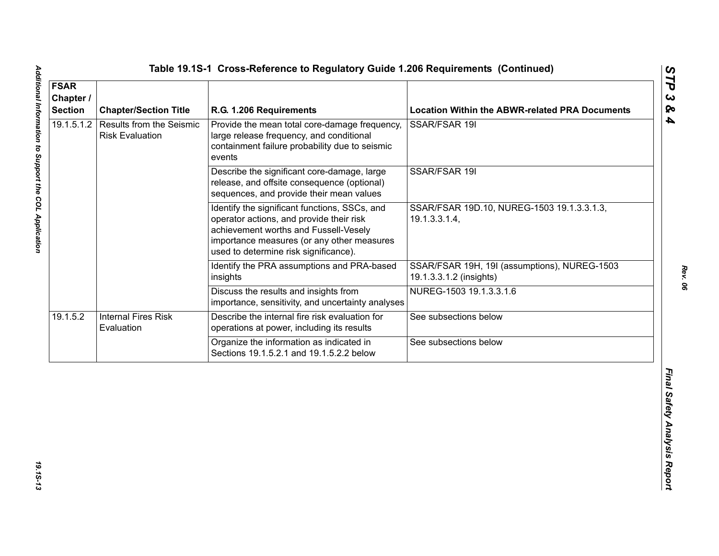| <b>FSAR</b><br>Chapter /<br><b>Section</b> | <b>Chapter/Section Title</b>                              | R.G. 1.206 Requirements                                                                                                                                                                                                   | <b>Location Within the ABWR-related PRA Documents</b>                   |
|--------------------------------------------|-----------------------------------------------------------|---------------------------------------------------------------------------------------------------------------------------------------------------------------------------------------------------------------------------|-------------------------------------------------------------------------|
| 19.1.5.1.2                                 | <b>Results from the Seismic</b><br><b>Risk Evaluation</b> | Provide the mean total core-damage frequency,<br>large release frequency, and conditional<br>containment failure probability due to seismic<br>events                                                                     | SSAR/FSAR 19I                                                           |
|                                            |                                                           | Describe the significant core-damage, large<br>release, and offsite consequence (optional)<br>sequences, and provide their mean values                                                                                    | SSAR/FSAR 19I                                                           |
|                                            |                                                           | Identify the significant functions, SSCs, and<br>operator actions, and provide their risk<br>achievement worths and Fussell-Vesely<br>importance measures (or any other measures<br>used to determine risk significance). | SSAR/FSAR 19D.10, NUREG-1503 19.1.3.3.1.3,<br>19.1.3.3.1.4,             |
|                                            |                                                           | Identify the PRA assumptions and PRA-based<br>insights                                                                                                                                                                    | SSAR/FSAR 19H, 19I (assumptions), NUREG-1503<br>19.1.3.3.1.2 (insights) |
|                                            |                                                           | Discuss the results and insights from<br>importance, sensitivity, and uncertainty analyses                                                                                                                                | NUREG-1503 19.1.3.3.1.6                                                 |
| 19.1.5.2                                   | <b>Internal Fires Risk</b><br>Evaluation                  | Describe the internal fire risk evaluation for<br>operations at power, including its results                                                                                                                              | See subsections below                                                   |
|                                            |                                                           | Organize the information as indicated in<br>Sections 19.1.5.2.1 and 19.1.5.2.2 below                                                                                                                                      | See subsections below                                                   |
|                                            |                                                           |                                                                                                                                                                                                                           |                                                                         |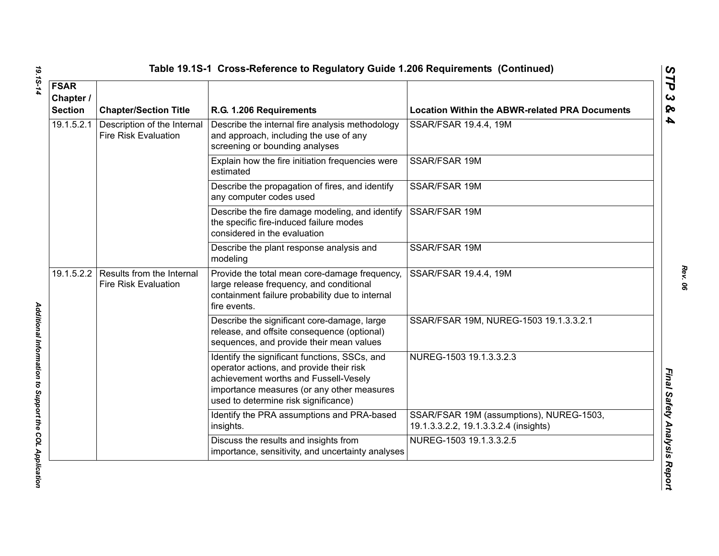| <b>FSAR</b><br>Chapter /<br><b>Section</b> | <b>Chapter/Section Title</b>                               | R.G. 1.206 Requirements                                                                                                                                                                                                  | <b>Location Within the ABWR-related PRA Documents</b>                             |
|--------------------------------------------|------------------------------------------------------------|--------------------------------------------------------------------------------------------------------------------------------------------------------------------------------------------------------------------------|-----------------------------------------------------------------------------------|
| 19.1.5.2.1                                 | Description of the Internal<br><b>Fire Risk Evaluation</b> | Describe the internal fire analysis methodology<br>and approach, including the use of any<br>screening or bounding analyses                                                                                              | SSAR/FSAR 19.4.4, 19M                                                             |
|                                            |                                                            | Explain how the fire initiation frequencies were<br>estimated                                                                                                                                                            | SSAR/FSAR 19M                                                                     |
|                                            |                                                            | Describe the propagation of fires, and identify<br>any computer codes used                                                                                                                                               | SSAR/FSAR 19M                                                                     |
|                                            |                                                            | Describe the fire damage modeling, and identify<br>the specific fire-induced failure modes<br>considered in the evaluation                                                                                               | SSAR/FSAR 19M                                                                     |
|                                            |                                                            | Describe the plant response analysis and<br>modeling                                                                                                                                                                     | SSAR/FSAR 19M                                                                     |
| 19.1.5.2.2                                 | Results from the Internal<br><b>Fire Risk Evaluation</b>   | Provide the total mean core-damage frequency,<br>large release frequency, and conditional<br>containment failure probability due to internal<br>fire events.                                                             | SSAR/FSAR 19.4.4, 19M                                                             |
|                                            |                                                            | Describe the significant core-damage, large<br>release, and offsite consequence (optional)<br>sequences, and provide their mean values                                                                                   | SSAR/FSAR 19M, NUREG-1503 19.1.3.3.2.1                                            |
|                                            |                                                            | Identify the significant functions, SSCs, and<br>operator actions, and provide their risk<br>achievement worths and Fussell-Vesely<br>importance measures (or any other measures<br>used to determine risk significance) | NUREG-1503 19.1.3.3.2.3                                                           |
|                                            |                                                            | Identify the PRA assumptions and PRA-based<br>insights.                                                                                                                                                                  | SSAR/FSAR 19M (assumptions), NUREG-1503,<br>19.1.3.3.2.2, 19.1.3.3.2.4 (insights) |
|                                            |                                                            | Discuss the results and insights from<br>importance, sensitivity, and uncertainty analyses                                                                                                                               | NUREG-1503 19.1.3.3.2.5                                                           |

Additional Information to Support the COL Application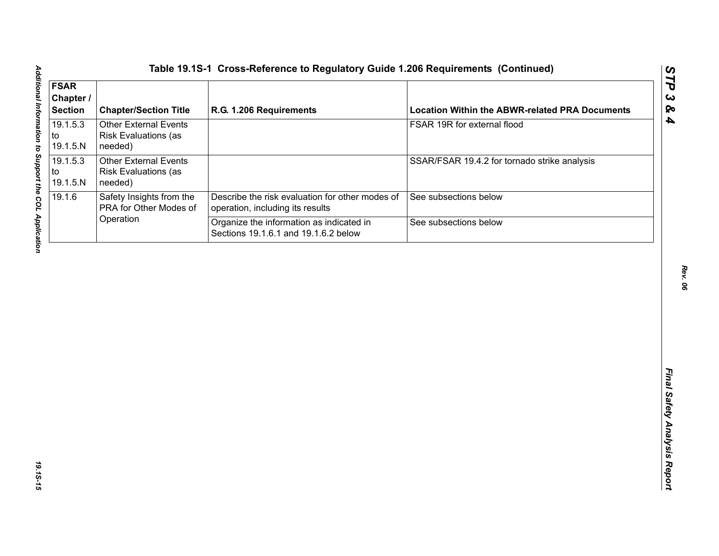| <b>FSAR</b><br>Chapter /<br><b>Section</b> | <b>Chapter/Section Title</b>                                           | R.G. 1.206 Requirements                                                             | <b>Location Within the ABWR-related PRA Documents</b> |
|--------------------------------------------|------------------------------------------------------------------------|-------------------------------------------------------------------------------------|-------------------------------------------------------|
| 19.1.5.3<br>to<br>19.1.5.N                 | <b>Other External Events</b><br><b>Risk Evaluations (as</b><br>needed) |                                                                                     | FSAR 19R for external flood                           |
| 19.1.5.3<br>to<br>19.1.5.N                 | <b>Other External Events</b><br><b>Risk Evaluations (as</b><br>needed) |                                                                                     | SSAR/FSAR 19.4.2 for tornado strike analysis          |
| 19.1.6                                     | Safety Insights from the<br>PRA for Other Modes of                     | Describe the risk evaluation for other modes of<br>operation, including its results | See subsections below                                 |
|                                            | Operation                                                              | Organize the information as indicated in<br>Sections 19.1.6.1 and 19.1.6.2 below    | See subsections below                                 |
|                                            |                                                                        |                                                                                     |                                                       |
|                                            |                                                                        |                                                                                     |                                                       |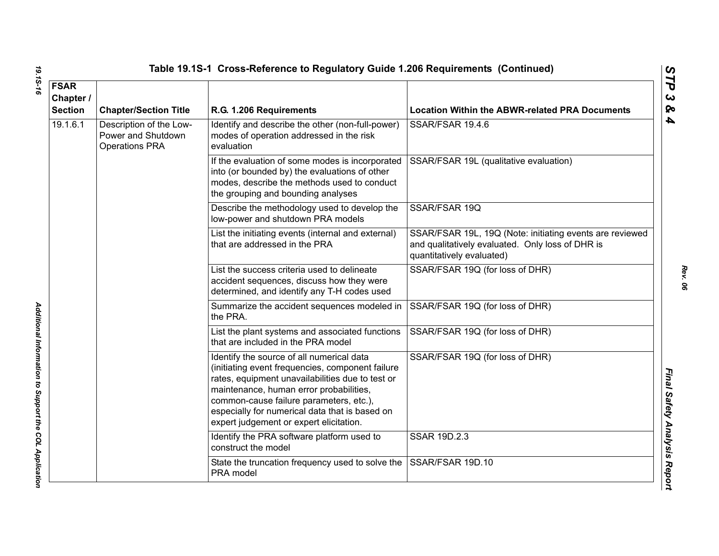| <b>FSAR</b><br>Chapter /<br><b>Section</b> | <b>Chapter/Section Title</b>                                           | R.G. 1.206 Requirements                                                                                                                                                                                                                                                                                                              | <b>Location Within the ABWR-related PRA Documents</b>                                                                                     |
|--------------------------------------------|------------------------------------------------------------------------|--------------------------------------------------------------------------------------------------------------------------------------------------------------------------------------------------------------------------------------------------------------------------------------------------------------------------------------|-------------------------------------------------------------------------------------------------------------------------------------------|
| 19.1.6.1                                   | Description of the Low-<br>Power and Shutdown<br><b>Operations PRA</b> | Identify and describe the other (non-full-power)<br>modes of operation addressed in the risk<br>evaluation                                                                                                                                                                                                                           | SSAR/FSAR 19.4.6                                                                                                                          |
|                                            |                                                                        | If the evaluation of some modes is incorporated<br>into (or bounded by) the evaluations of other<br>modes, describe the methods used to conduct<br>the grouping and bounding analyses                                                                                                                                                | SSAR/FSAR 19L (qualitative evaluation)                                                                                                    |
|                                            |                                                                        | Describe the methodology used to develop the<br>low-power and shutdown PRA models                                                                                                                                                                                                                                                    | SSAR/FSAR 19Q                                                                                                                             |
|                                            |                                                                        | List the initiating events (internal and external)<br>that are addressed in the PRA                                                                                                                                                                                                                                                  | SSAR/FSAR 19L, 19Q (Note: initiating events are reviewed<br>and qualitatively evaluated. Only loss of DHR is<br>quantitatively evaluated) |
|                                            |                                                                        | List the success criteria used to delineate<br>accident sequences, discuss how they were<br>determined, and identify any T-H codes used                                                                                                                                                                                              | SSAR/FSAR 19Q (for loss of DHR)                                                                                                           |
|                                            |                                                                        | Summarize the accident sequences modeled in<br>the PRA.                                                                                                                                                                                                                                                                              | SSAR/FSAR 19Q (for loss of DHR)                                                                                                           |
|                                            |                                                                        | List the plant systems and associated functions<br>that are included in the PRA model                                                                                                                                                                                                                                                | SSAR/FSAR 19Q (for loss of DHR)                                                                                                           |
|                                            |                                                                        | Identify the source of all numerical data<br>(initiating event frequencies, component failure<br>rates, equipment unavailabilities due to test or<br>maintenance, human error probabilities,<br>common-cause failure parameters, etc.),<br>especially for numerical data that is based on<br>expert judgement or expert elicitation. | SSAR/FSAR 19Q (for loss of DHR)                                                                                                           |
|                                            |                                                                        | Identify the PRA software platform used to<br>construct the model                                                                                                                                                                                                                                                                    | <b>SSAR 19D.2.3</b>                                                                                                                       |
|                                            |                                                                        | State the truncation frequency used to solve the<br>PRA model                                                                                                                                                                                                                                                                        | SSAR/FSAR 19D.10                                                                                                                          |

*19.1S-16 Additional Information to Support the COL Application*  Additional Information to Support the COL Application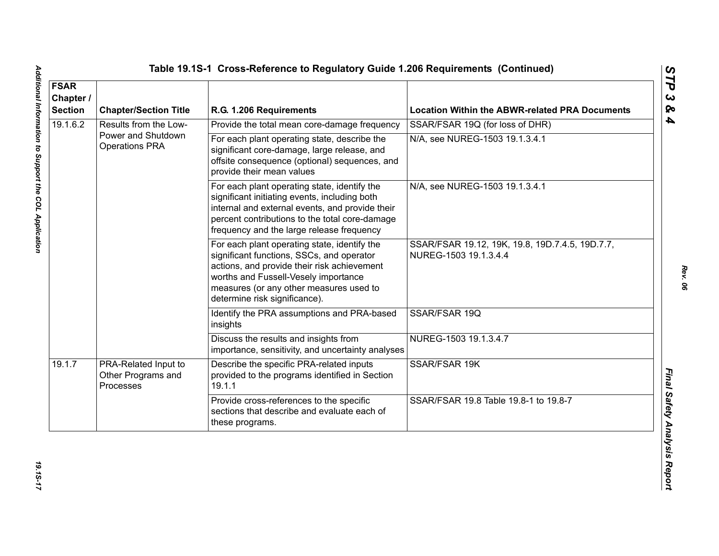| <b>FSAR</b><br>Chapter /<br><b>Section</b> | <b>Chapter/Section Title</b>                            | R.G. 1.206 Requirements                                                                                                                                                                                                                                      | <b>Location Within the ABWR-related PRA Documents</b>                    |
|--------------------------------------------|---------------------------------------------------------|--------------------------------------------------------------------------------------------------------------------------------------------------------------------------------------------------------------------------------------------------------------|--------------------------------------------------------------------------|
| 19.1.6.2                                   | Results from the Low-                                   | Provide the total mean core-damage frequency                                                                                                                                                                                                                 | SSAR/FSAR 19Q (for loss of DHR)                                          |
|                                            | Power and Shutdown<br><b>Operations PRA</b>             | For each plant operating state, describe the<br>significant core-damage, large release, and<br>offsite consequence (optional) sequences, and<br>provide their mean values                                                                                    | N/A, see NUREG-1503 19.1.3.4.1                                           |
|                                            |                                                         | For each plant operating state, identify the<br>significant initiating events, including both<br>internal and external events, and provide their<br>percent contributions to the total core-damage<br>frequency and the large release frequency              | N/A, see NUREG-1503 19.1.3.4.1                                           |
|                                            |                                                         | For each plant operating state, identify the<br>significant functions, SSCs, and operator<br>actions, and provide their risk achievement<br>worths and Fussell-Vesely importance<br>measures (or any other measures used to<br>determine risk significance). | SSAR/FSAR 19.12, 19K, 19.8, 19D.7.4.5, 19D.7.7,<br>NUREG-1503 19.1.3.4.4 |
|                                            |                                                         | Identify the PRA assumptions and PRA-based<br>insights                                                                                                                                                                                                       | SSAR/FSAR 19Q                                                            |
|                                            |                                                         | Discuss the results and insights from<br>importance, sensitivity, and uncertainty analyses                                                                                                                                                                   | NUREG-1503 19.1.3.4.7                                                    |
| 19.1.7                                     | PRA-Related Input to<br>Other Programs and<br>Processes | Describe the specific PRA-related inputs<br>provided to the programs identified in Section<br>19.1.1                                                                                                                                                         | SSAR/FSAR 19K                                                            |
|                                            |                                                         | Provide cross-references to the specific<br>sections that describe and evaluate each of<br>these programs.                                                                                                                                                   | SSAR/FSAR 19.8 Table 19.8-1 to 19.8-7                                    |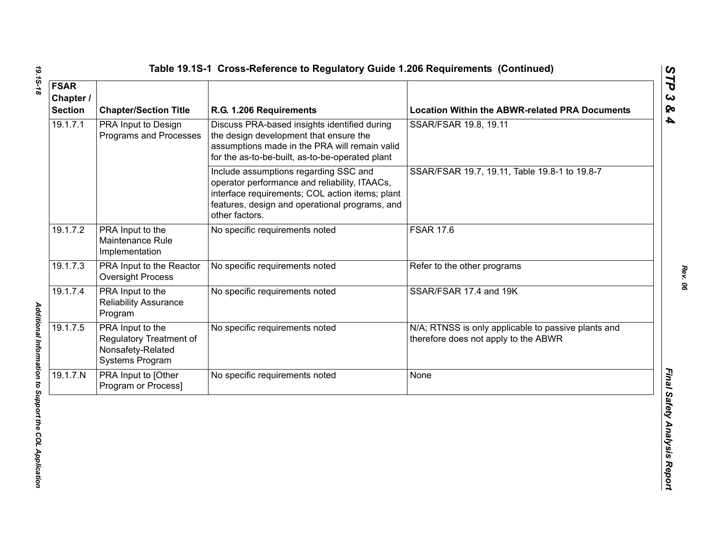| <b>FSAR</b><br>Chapter /<br><b>Section</b> | <b>Chapter/Section Title</b>                                                        | R.G. 1.206 Requirements                                                                                                                                                                                       | <b>Location Within the ABWR-related PRA Documents</b>                                       |
|--------------------------------------------|-------------------------------------------------------------------------------------|---------------------------------------------------------------------------------------------------------------------------------------------------------------------------------------------------------------|---------------------------------------------------------------------------------------------|
| 19.1.7.1                                   | PRA Input to Design<br>Programs and Processes                                       | Discuss PRA-based insights identified during<br>the design development that ensure the<br>assumptions made in the PRA will remain valid<br>for the as-to-be-built, as-to-be-operated plant                    | SSAR/FSAR 19.8, 19.11                                                                       |
|                                            |                                                                                     | Include assumptions regarding SSC and<br>operator performance and reliability, ITAACs,<br>interface requirements; COL action items; plant<br>features, design and operational programs, and<br>other factors. | SSAR/FSAR 19.7, 19.11, Table 19.8-1 to 19.8-7                                               |
| 19.1.7.2                                   | PRA Input to the<br>Maintenance Rule<br>Implementation                              | No specific requirements noted                                                                                                                                                                                | <b>FSAR 17.6</b>                                                                            |
| 19.1.7.3                                   | PRA Input to the Reactor<br><b>Oversight Process</b>                                | No specific requirements noted                                                                                                                                                                                | Refer to the other programs                                                                 |
| 19.1.7.4                                   | PRA Input to the<br><b>Reliability Assurance</b><br>Program                         | No specific requirements noted                                                                                                                                                                                | SSAR/FSAR 17.4 and 19K                                                                      |
| 19.1.7.5                                   | PRA Input to the<br>Regulatory Treatment of<br>Nonsafety-Related<br>Systems Program | No specific requirements noted                                                                                                                                                                                | N/A; RTNSS is only applicable to passive plants and<br>therefore does not apply to the ABWR |
| 19.1.7.N                                   | PRA Input to [Other<br>Program or Process]                                          | No specific requirements noted                                                                                                                                                                                | None                                                                                        |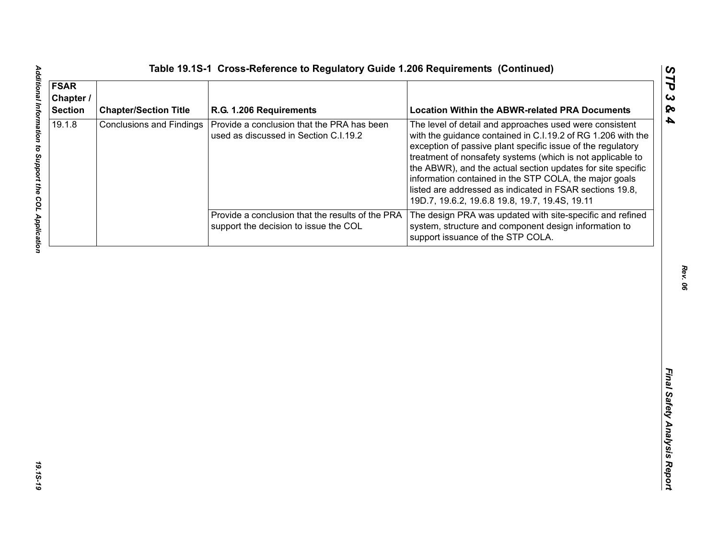| <b>FSAR</b><br>Chapter /<br><b>Section</b> | <b>Chapter/Section Title</b>    | R.G. 1.206 Requirements                                                                   | <b>Location Within the ABWR-related PRA Documents</b>                                                                                                                                                                                                                                                                                                                                                                                                                                       |
|--------------------------------------------|---------------------------------|-------------------------------------------------------------------------------------------|---------------------------------------------------------------------------------------------------------------------------------------------------------------------------------------------------------------------------------------------------------------------------------------------------------------------------------------------------------------------------------------------------------------------------------------------------------------------------------------------|
| 19.1.8                                     | <b>Conclusions and Findings</b> | Provide a conclusion that the PRA has been<br>used as discussed in Section C.I.19.2       | The level of detail and approaches used were consistent<br>with the guidance contained in C.I.19.2 of RG 1.206 with the<br>exception of passive plant specific issue of the regulatory<br>treatment of nonsafety systems (which is not applicable to<br>the ABWR), and the actual section updates for site specific<br>information contained in the STP COLA, the major goals<br>listed are addressed as indicated in FSAR sections 19.8,<br>19D.7, 19.6.2, 19.6.8 19.8, 19.7, 19.4S, 19.11 |
|                                            |                                 | Provide a conclusion that the results of the PRA<br>support the decision to issue the COL | The design PRA was updated with site-specific and refined<br>system, structure and component design information to<br>support issuance of the STP COLA.                                                                                                                                                                                                                                                                                                                                     |
|                                            |                                 |                                                                                           |                                                                                                                                                                                                                                                                                                                                                                                                                                                                                             |
|                                            |                                 |                                                                                           |                                                                                                                                                                                                                                                                                                                                                                                                                                                                                             |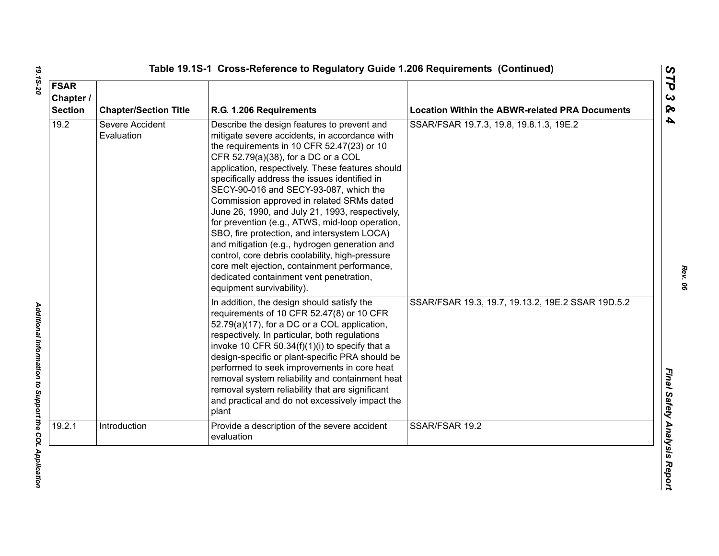| <b>FSAR</b><br>Chapter /<br><b>Section</b> | <b>Chapter/Section Title</b>  | R.G. 1.206 Requirements                                                                                                                                                                                                                                                                                                                                                                                                                                                                                                                                                                                                                                                                                                                                        | <b>Location Within the ABWR-related PRA Documents</b> |
|--------------------------------------------|-------------------------------|----------------------------------------------------------------------------------------------------------------------------------------------------------------------------------------------------------------------------------------------------------------------------------------------------------------------------------------------------------------------------------------------------------------------------------------------------------------------------------------------------------------------------------------------------------------------------------------------------------------------------------------------------------------------------------------------------------------------------------------------------------------|-------------------------------------------------------|
| 19.2                                       | Severe Accident<br>Evaluation | Describe the design features to prevent and<br>mitigate severe accidents, in accordance with<br>the requirements in 10 CFR 52.47(23) or 10<br>CFR 52.79(a)(38), for a DC or a COL<br>application, respectively. These features should<br>specifically address the issues identified in<br>SECY-90-016 and SECY-93-087, which the<br>Commission approved in related SRMs dated<br>June 26, 1990, and July 21, 1993, respectively,<br>for prevention (e.g., ATWS, mid-loop operation,<br>SBO, fire protection, and intersystem LOCA)<br>and mitigation (e.g., hydrogen generation and<br>control, core debris coolability, high-pressure<br>core melt ejection, containment performance,<br>dedicated containment vent penetration,<br>equipment survivability). | SSAR/FSAR 19.7.3, 19.8, 19.8.1.3, 19E.2               |
|                                            |                               | In addition, the design should satisfy the<br>requirements of 10 CFR 52.47(8) or 10 CFR<br>52.79(a)(17), for a DC or a COL application,<br>respectively. In particular, both regulations<br>invoke 10 CFR 50.34(f)(1)(i) to specify that a<br>design-specific or plant-specific PRA should be<br>performed to seek improvements in core heat<br>removal system reliability and containment heat<br>removal system reliability that are significant<br>and practical and do not excessively impact the<br>plant                                                                                                                                                                                                                                                 | SSAR/FSAR 19.3, 19.7, 19.13.2, 19E.2 SSAR 19D.5.2     |
| 19.2.1                                     | Introduction                  | Provide a description of the severe accident<br>evaluation                                                                                                                                                                                                                                                                                                                                                                                                                                                                                                                                                                                                                                                                                                     | SSAR/FSAR 19.2                                        |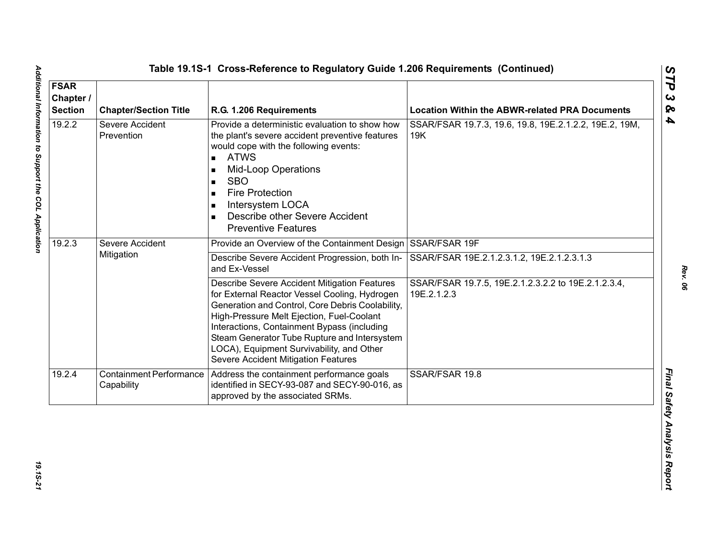| <b>FSAR</b><br>Chapter /<br><b>Section</b> | <b>Chapter/Section Title</b>                 | R.G. 1.206 Requirements                                                                                                                                                                                                                                                                                                                                                           | <b>Location Within the ABWR-related PRA Documents</b>              |
|--------------------------------------------|----------------------------------------------|-----------------------------------------------------------------------------------------------------------------------------------------------------------------------------------------------------------------------------------------------------------------------------------------------------------------------------------------------------------------------------------|--------------------------------------------------------------------|
| 19.2.2                                     | Severe Accident<br>Prevention                | Provide a deterministic evaluation to show how<br>the plant's severe accident preventive features<br>would cope with the following events:<br><b>ATWS</b><br>$\blacksquare$<br><b>Mid-Loop Operations</b><br><b>SBO</b><br><b>Fire Protection</b><br>Intersystem LOCA<br>Describe other Severe Accident<br><b>Preventive Features</b>                                             | SSAR/FSAR 19.7.3, 19.6, 19.8, 19E.2.1.2.2, 19E.2, 19M,<br>19K      |
| 19.2.3                                     | Severe Accident<br>Mitigation                | Provide an Overview of the Containment Design SSAR/FSAR 19F                                                                                                                                                                                                                                                                                                                       |                                                                    |
|                                            |                                              | Describe Severe Accident Progression, both In-<br>and Ex-Vessel                                                                                                                                                                                                                                                                                                                   | SSAR/FSAR 19E.2.1.2.3.1.2, 19E.2.1.2.3.1.3                         |
|                                            |                                              | Describe Severe Accident Mitigation Features<br>for External Reactor Vessel Cooling, Hydrogen<br>Generation and Control, Core Debris Coolability,<br>High-Pressure Melt Ejection, Fuel-Coolant<br>Interactions, Containment Bypass (including<br>Steam Generator Tube Rupture and Intersystem<br>LOCA), Equipment Survivability, and Other<br>Severe Accident Mitigation Features | SSAR/FSAR 19.7.5, 19E.2.1.2.3.2.2 to 19E.2.1.2.3.4,<br>19E.2.1.2.3 |
| 19.2.4                                     | <b>Containment Performance</b><br>Capability | Address the containment performance goals<br>identified in SECY-93-087 and SECY-90-016, as<br>approved by the associated SRMs.                                                                                                                                                                                                                                                    | SSAR/FSAR 19.8                                                     |

*STP 3 & 4*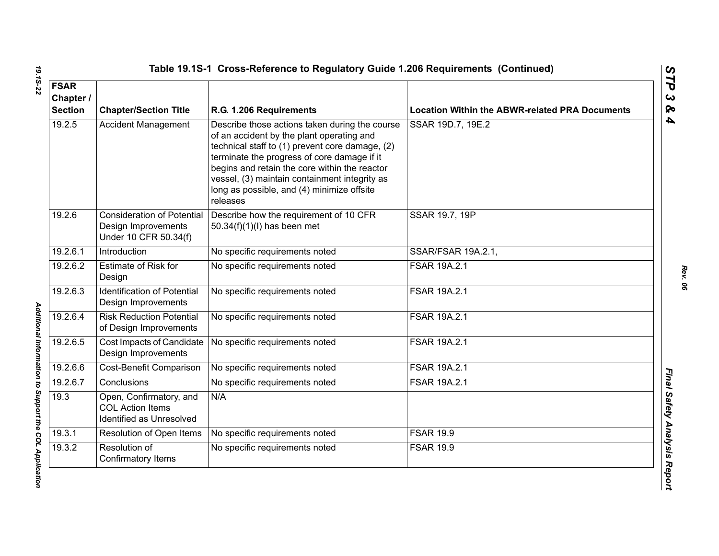| <b>FSAR</b><br>Chapter /<br><b>Section</b> | <b>Chapter/Section Title</b>                                                      | R.G. 1.206 Requirements                                                                                                                                                                                                                                                                                                                                   | <b>Location Within the ABWR-related PRA Documents</b> |
|--------------------------------------------|-----------------------------------------------------------------------------------|-----------------------------------------------------------------------------------------------------------------------------------------------------------------------------------------------------------------------------------------------------------------------------------------------------------------------------------------------------------|-------------------------------------------------------|
| 19.2.5                                     | <b>Accident Management</b>                                                        | Describe those actions taken during the course<br>of an accident by the plant operating and<br>technical staff to (1) prevent core damage, (2)<br>terminate the progress of core damage if it<br>begins and retain the core within the reactor<br>vessel, (3) maintain containment integrity as<br>long as possible, and (4) minimize offsite<br>releases | SSAR 19D.7, 19E.2                                     |
| 19.2.6                                     | <b>Consideration of Potential</b><br>Design Improvements<br>Under 10 CFR 50.34(f) | Describe how the requirement of 10 CFR<br>50.34(f)(1)(l) has been met                                                                                                                                                                                                                                                                                     | SSAR 19.7, 19P                                        |
| 19.2.6.1                                   | Introduction                                                                      | No specific requirements noted                                                                                                                                                                                                                                                                                                                            | SSAR/FSAR 19A.2.1,                                    |
| 19.2.6.2                                   | <b>Estimate of Risk for</b><br>Design                                             | No specific requirements noted                                                                                                                                                                                                                                                                                                                            | FSAR 19A.2.1                                          |
| 19.2.6.3                                   | <b>Identification of Potential</b><br>Design Improvements                         | No specific requirements noted                                                                                                                                                                                                                                                                                                                            | FSAR 19A.2.1                                          |
| 19.2.6.4                                   | <b>Risk Reduction Potential</b><br>of Design Improvements                         | No specific requirements noted                                                                                                                                                                                                                                                                                                                            | <b>FSAR 19A.2.1</b>                                   |
| 19.2.6.5                                   | Cost Impacts of Candidate<br>Design Improvements                                  | No specific requirements noted                                                                                                                                                                                                                                                                                                                            | FSAR 19A.2.1                                          |
| 19.2.6.6                                   | Cost-Benefit Comparison                                                           | No specific requirements noted                                                                                                                                                                                                                                                                                                                            | <b>FSAR 19A.2.1</b>                                   |
| 19.2.6.7                                   | Conclusions                                                                       | No specific requirements noted                                                                                                                                                                                                                                                                                                                            | <b>FSAR 19A.2.1</b>                                   |
| 19.3                                       | Open, Confirmatory, and<br><b>COL Action Items</b><br>Identified as Unresolved    | N/A                                                                                                                                                                                                                                                                                                                                                       |                                                       |
| 19.3.1                                     | Resolution of Open Items                                                          | No specific requirements noted                                                                                                                                                                                                                                                                                                                            | <b>FSAR 19.9</b>                                      |
| 19.3.2                                     | Resolution of<br>Confirmatory Items                                               | No specific requirements noted                                                                                                                                                                                                                                                                                                                            | <b>FSAR 19.9</b>                                      |

Additional Information to Support the COL Application